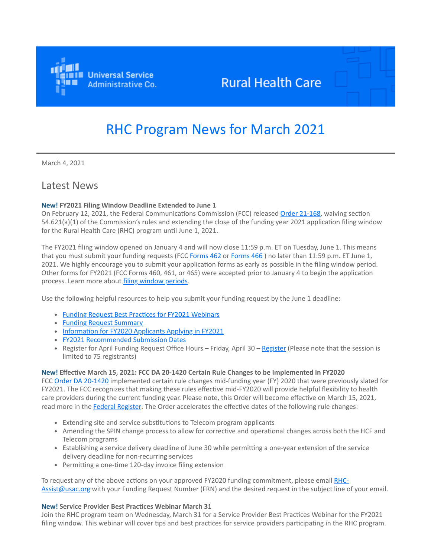

## **Rural Health Care**

# RHC Program News for March 2021

March 4, 2021

### Latest News

### **New! FY2021 Filing Window Deadline Extended to June 1**

On February 12, 2021, the Federal Communications Commission (FCC) released [Order 21-168,](https://click.outreach.usac.org/?qs=199cd41cff2c18c7d021e0a001a8b6beeea0a8a3ccd7e3b788f3d95f9e3bf2302d3e2cd62ac4cffbf80598edfa59e90fae3e242f35ebe2f0) waiving section 54.621(a)(1) of the Commission's rules and extending the close of the funding year 2021 application filing window for the Rural Health Care (RHC) program until June 1, 2021.

The FY2021 filing window opened on January 4 and will now close 11:59 p.m. ET on Tuesday, June 1. This means that you must submit your funding requests (FCC [Forms 462](https://click.outreach.usac.org/?qs=199cd41cff2c18c70b17f78bf4851226182874c7c387ece0c1c4abf81ffe97f7efce37bfcec4d3713a6a1e3ad4789f8890dfed92fb0fba0f) or [Forms 466](https://click.outreach.usac.org/?qs=199cd41cff2c18c7e218749b771cbdd7ff16e00d47dbbcce115dbeec31806335313f6a81c848f50477ee79e4a8d18b9ad17f4902bfe0e4e5)) no later than 11:59 p.m. ET June 1, 2021. We highly encourage you to submit your application forms as early as possible in the filing window period. Other forms for FY2021 (FCC Forms 460, 461, or 465) were accepted prior to January 4 to begin the application process. Learn more about [filing window periods.](https://click.outreach.usac.org/?qs=199cd41cff2c18c7afb0413c6a1cabf3aadccc94081a18d18826fa0cf12312fa610d7f547bf25dcdaf474ca0ce72f9dcd08e43d8523dfc9c)

Use the following helpful resources to help you submit your funding request by the June 1 deadline:

- [Funding Request Best Practices for FY2021 Webinars](https://click.outreach.usac.org/?qs=199cd41cff2c18c7524c03cfbf0aad285c62ac69265bd05a5567c4ef9665564f831d8fdc671b62c3f41bc1cdb42cf9e61fe6ebb6a6cd08b7)
- [Funding Request Summary](https://click.outreach.usac.org/?qs=199cd41cff2c18c770a1e53e33d7337430ae9de9d5648ca33f19621d965ede75ef76b6b36df51722b1c82aecb6941b011e0593eed66c4b02)
- [Information for FY2020 Applicants Applying in FY2021](https://click.outreach.usac.org/?qs=199cd41cff2c18c744f758f0fa1d314de08fb159e52355eafe22535dd15d4dc49574c36bae284b30e5a62d4ded1b68ed8cd062b9e3164561)
- [FY2021 Recommended Submission Dates](https://click.outreach.usac.org/?qs=199cd41cff2c18c7084655d77b50d4c720b6fa89ed44347961566d33ca694e309631ff561189be5034986c6e82bf0ca2cab1383873be2782)
- [Register](https://click.outreach.usac.org/?qs=199cd41cff2c18c7064dae4cc32ff2f16d91b866f84ab31f533f6f2edb3ae6511b59df927dd1ee140e9822aeee77a6dff32bdf093f2ce4c1) for April Funding Request Office Hours Friday, April 30 Register (Please note that the session is limited to 75 registrants)

### **New! Effective March 15, 2021: FCC DA 20-1420 Certain Rule Changes to be Implemented in FY2020**

FCC [Order DA 20-1420](https://click.outreach.usac.org/?qs=199cd41cff2c18c7bab168c4fe25d279c4844787688cf5a169abd937a4d9d18618b33fddb3a050ae7091f87b7490aa5961ae160bfee27d0d) implemented certain rule changes mid-funding year (FY) 2020 that were previously slated for FY2021. The FCC recognizes that making these rules effective mid-FY2020 will provide helpful flexibility to health care providers during the current funding year. Please note, this Order will become effective on March 15, 2021, read more in the [Federal Register.](https://click.outreach.usac.org/?qs=199cd41cff2c18c7f8a630ef31c82e168f02381d67e71657f315d6e297066e7ec2dfd8a2d887a017373b6af1ef577c1b221060fe44c91b82) The Order accelerates the effective dates of the following rule changes:

- Extending site and service substitutions to Telecom program applicants
- Amending the SPIN change process to allow for corrective and operational changes across both the HCF and Telecom programs
- Establishing a service delivery deadline of June 30 while permitting a one-year extension of the service delivery deadline for non-recurring services
- Permitting a one-time 120-day invoice filing extension

[To request any of the above actions on your approved FY2020 funding commitment, please email RHC-](mailto:RHC-Assist@usac.org?subject=)Assist@usac.org with your Funding Request Number (FRN) and the desired request in the subject line of your email.

### **New! Service Provider Best Practices Webinar March 31**

Join the RHC program team on Wednesday, March 31 for a Service Provider Best Practices Webinar for the FY2021 filing window. This webinar will cover tips and best practices for service providers participating in the RHC program.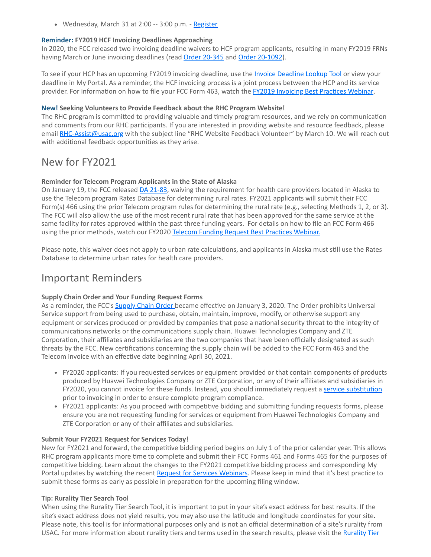• Wednesday, March 31 at 2:00 -- 3:00 p.m. - [Register](https://click.outreach.usac.org/?qs=199cd41cff2c18c7090882164c6f151a0ce2540a930e996d8955e7f9436ad5bd595c5773f1012916dd8259e655f79d70a34b8c9d0103dbcb)

### **Reminder: FY2019 HCF Invoicing Deadlines Approaching**

In 2020, the FCC released two invoicing deadline waivers to HCF program applicants, resulting in many FY2019 FRNs having March or June invoicing deadlines (read [Order 20-345](https://click.outreach.usac.org/?qs=199cd41cff2c18c7cab6524d2dde422598a816dd13fac5d737245e9fa4fe2b167bdba7a2316efa11bef87a3c0954b65b95df0ed7b9d01a1b) and [Order 20-1092](https://click.outreach.usac.org/?qs=199cd41cff2c18c7c4befdbe4af085d60d9ce3769fecca638cea024c2195df43211d6e72ab7a9c04ce2088b1c6d0c97b472dbcc3229a7681)).

To see if your HCP has an upcoming FY2019 invoicing deadline, use the *Invoice Deadline Lookup Tool* or view your deadline in My Portal. As a reminder, the HCF invoicing process is a joint process between the HCP and its service provider. For information on how to file your FCC Form 463, watch the [FY2019 Invoicing Best Practices Webinar.](https://click.outreach.usac.org/?qs=199cd41cff2c18c7005ec1588a7e9752eb2c274dbcac4f441820e5035da7414221f31392a3429396f7627c1d5f19d894cc65da3de97af611)

### **New! Seeking Volunteers to Provide Feedback about the RHC Program Website!**

The RHC program is committed to providing valuable and timely program resources, and we rely on communication and comments from our RHC participants. If you are interested in providing website and resource feedback, please email [RHC-Assist@usac.org](mailto:RHC-Assist@usac.org?subject=RHC%20Website%20Feedback%20Volunteer) with the subject line "RHC Website Feedback Volunteer" by March 10. We will reach out with additional feedback opportunities as they arise.

## New for FY2021

### **Reminder for Telecom Program Applicants in the State of Alaska**

On January 19, the FCC released [DA 21-83](https://click.outreach.usac.org/?qs=199cd41cff2c18c772fa21084e5e034f710c8426cf97a0a1ff86dc521e3860b890dfeb61aac3ee6874a30057e99fc34ad38f573f6389d2c9), waiving the requirement for health care providers located in Alaska to use the Telecom program Rates Database for determining rural rates. FY2021 applicants will submit their FCC Form(s) 466 using the prior Telecom program rules for determining the rural rate (e.g., selecting Methods 1, 2, or 3). The FCC will also allow the use of the most recent rural rate that has been approved for the same service at the same facility for rates approved within the past three funding years. For details on how to file an FCC Form 466 using the prior methods, watch our FY2020 [Telecom Funding Request Best Practices Webinar.](https://click.outreach.usac.org/?qs=199cd41cff2c18c7f413d95752fc163d4ea257b563ddcd1a1385deefc80f499b9eca2d6e4937f4ae85861db32e889dae64aeec4b865a0d1a)

Please note, this waiver does not apply to urban rate calculations, and applicants in Alaska must still use the Rates Database to determine urban rates for health care providers.

### Important Reminders

### **Supply Chain Order and Your Funding Request Forms**

As a reminder, the FCC's [Supply Chain Order](https://click.outreach.usac.org/?qs=199cd41cff2c18c7302e8a828990993f0c071ccc316f084a863c858a062fb7702e9f76d9a5489c652774f0c43f581b01b28e9b00943f1f37) became effective on January 3, 2020. The Order prohibits Universal Service support from being used to purchase, obtain, maintain, improve, modify, or otherwise support any equipment or services produced or provided by companies that pose a national security threat to the integrity of communications networks or the communications supply chain. Huawei Technologies Company and ZTE Corporation, their affiliates and subsidiaries are the two companies that have been officially designated as such threats by the FCC. New certifications concerning the supply chain will be added to the FCC Form 463 and the Telecom invoice with an effective date beginning April 30, 2021.

- FY2020 applicants: If you requested services or equipment provided or that contain components of products produced by Huawei Technologies Company or ZTE Corporation, or any of their affiliates and subsidiaries in FY2020, you cannot invoice for these funds. Instead, you should immediately request a [service substitution](https://click.outreach.usac.org/?qs=199cd41cff2c18c7c87cf6f8ceb73124a11e68fa021db27ad512e318a43ee9ce300f5768618f653e215eb471d1d83f6bcfb2edac58153d14) prior to invoicing in order to ensure complete program compliance.
- FY2021 applicants: As you proceed with competitive bidding and submitting funding requests forms, please ensure you are not requesting funding for services or equipment from Huawei Technologies Company and ZTE Corporation or any of their affiliates and subsidiaries.

### **Submit Your FY2021 Request for Services Today!**

New for FY2021 and forward, the competitive bidding period begins on July 1 of the prior calendar year. This allows RHC program applicants more time to complete and submit their FCC Forms 461 and Forms 465 for the purposes of competitive bidding. Learn about the changes to the FY2021 competitive bidding process and corresponding My Portal updates by watching the recent [Request for Services Webinars.](https://click.outreach.usac.org/?qs=199cd41cff2c18c7dc09b4d5ea279def56bce2df80eabd8ae08b3d26e885adbeaa6ce4369eddf95c04aad848f695b3e16308cc3b767a3da7) Please keep in mind that it's best practice to submit these forms as early as possible in preparation for the upcoming filing window.

### **Tip: Rurality Tier Search Tool**

When using the Rurality Tier Search Tool, it is important to put in your site's exact address for best results. If the site's exact address does not yield results, you may also use the latitude and longitude coordinates for your site. Please note, this tool is for informational purposes only and is not an official determination of a site's rurality from [USAC. For more information about rurality tiers and terms used in the search results, please visit the Rurality Tier](https://click.outreach.usac.org/?qs=199cd41cff2c18c7042ba707c9dbc1729f0550b4e4de736c2c9a71c5020100797fe6ddf1c90e2d7da88bc131a7cb44a63b36196e99c655d5)